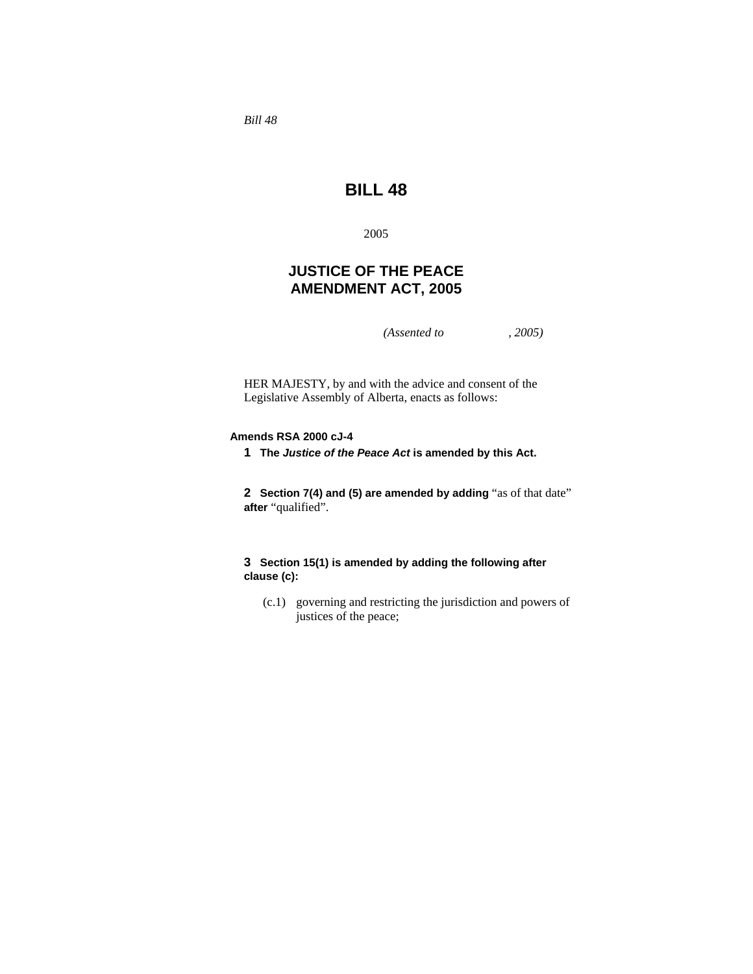*Bill 48* 

# **BILL 48**

2005

## **JUSTICE OF THE PEACE AMENDMENT ACT, 2005**

*(Assented to , 2005)* 

HER MAJESTY, by and with the advice and consent of the Legislative Assembly of Alberta, enacts as follows:

#### **Amends RSA 2000 cJ-4**

**1 The** *Justice of the Peace Act* **is amended by this Act.**

**2 Section 7(4) and (5) are amended by adding** "as of that date" **after** "qualified".

### **3 Section 15(1) is amended by adding the following after clause (c):**

 (c.1) governing and restricting the jurisdiction and powers of justices of the peace;